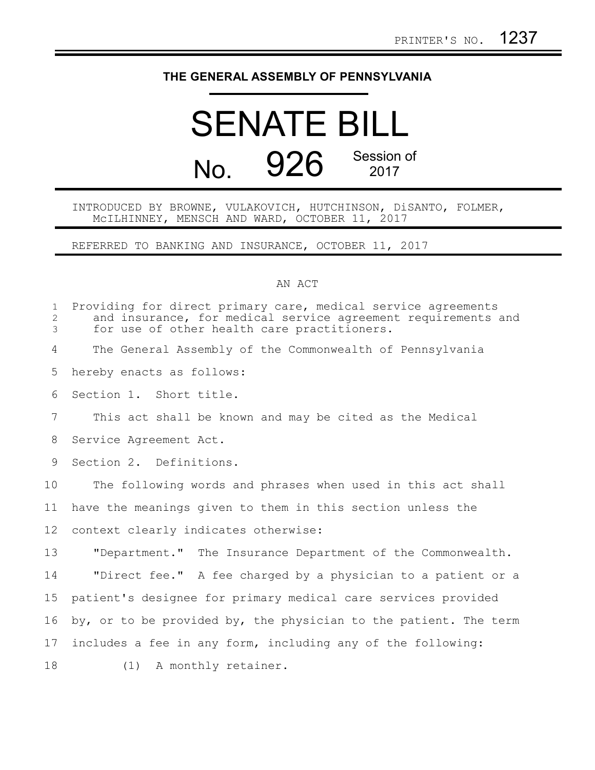## **THE GENERAL ASSEMBLY OF PENNSYLVANIA**

## SENATE BILL No. 926 Session of 2017

INTRODUCED BY BROWNE, VULAKOVICH, HUTCHINSON, DiSANTO, FOLMER, McILHINNEY, MENSCH AND WARD, OCTOBER 11, 2017

REFERRED TO BANKING AND INSURANCE, OCTOBER 11, 2017

## AN ACT

| $\mathbf 1$<br>$\overline{2}$<br>3 | Providing for direct primary care, medical service agreements<br>and insurance, for medical service agreement requirements and<br>for use of other health care practitioners. |
|------------------------------------|-------------------------------------------------------------------------------------------------------------------------------------------------------------------------------|
| 4                                  | The General Assembly of the Commonwealth of Pennsylvania                                                                                                                      |
| 5                                  | hereby enacts as follows:                                                                                                                                                     |
| 6                                  | Section 1. Short title.                                                                                                                                                       |
| $7\phantom{.0}$                    | This act shall be known and may be cited as the Medical                                                                                                                       |
| 8                                  | Service Agreement Act.                                                                                                                                                        |
| 9                                  | Section 2. Definitions.                                                                                                                                                       |
| 10                                 | The following words and phrases when used in this act shall                                                                                                                   |
| 11                                 | have the meanings given to them in this section unless the                                                                                                                    |
| 12                                 | context clearly indicates otherwise:                                                                                                                                          |
| 13                                 | "Department." The Insurance Department of the Commonwealth.                                                                                                                   |
| 14                                 | "Direct fee." A fee charged by a physician to a patient or a                                                                                                                  |
| 15                                 | patient's designee for primary medical care services provided                                                                                                                 |
| 16                                 | by, or to be provided by, the physician to the patient. The term                                                                                                              |
| 17                                 | includes a fee in any form, including any of the following:                                                                                                                   |
| 18                                 | (1) A monthly retainer.                                                                                                                                                       |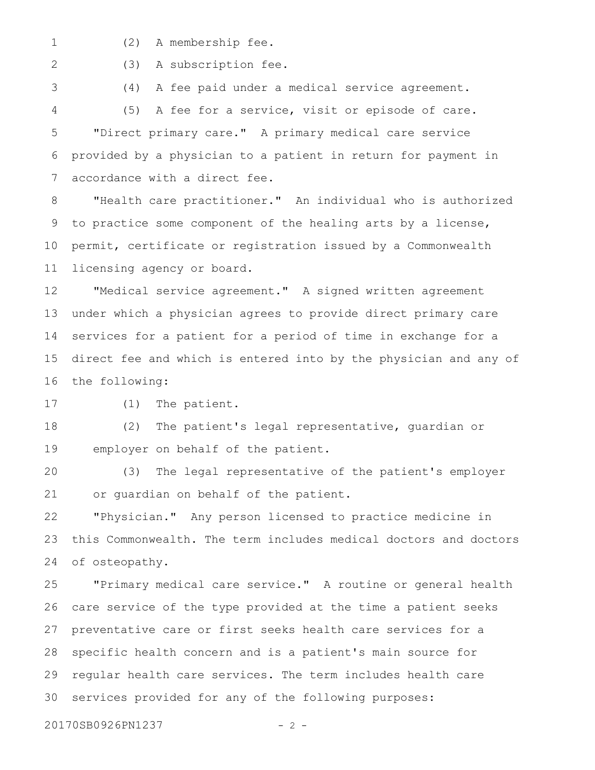- 1
- (2) A membership fee.

2

3

(3) A subscription fee.

(4) A fee paid under a medical service agreement.

(5) A fee for a service, visit or episode of care. "Direct primary care." A primary medical care service provided by a physician to a patient in return for payment in accordance with a direct fee. 4 5 6 7

"Health care practitioner." An individual who is authorized to practice some component of the healing arts by a license, permit, certificate or registration issued by a Commonwealth licensing agency or board. 8 9 10 11

"Medical service agreement." A signed written agreement under which a physician agrees to provide direct primary care services for a patient for a period of time in exchange for a direct fee and which is entered into by the physician and any of the following: 12 13 14 15 16

(1) The patient. 17

(2) The patient's legal representative, guardian or employer on behalf of the patient. 18 19

(3) The legal representative of the patient's employer or guardian on behalf of the patient. 20 21

"Physician." Any person licensed to practice medicine in this Commonwealth. The term includes medical doctors and doctors of osteopathy. 22 23 24

"Primary medical care service." A routine or general health care service of the type provided at the time a patient seeks preventative care or first seeks health care services for a specific health concern and is a patient's main source for regular health care services. The term includes health care services provided for any of the following purposes: 25 26 27 28 29 30

20170SB0926PN1237 - 2 -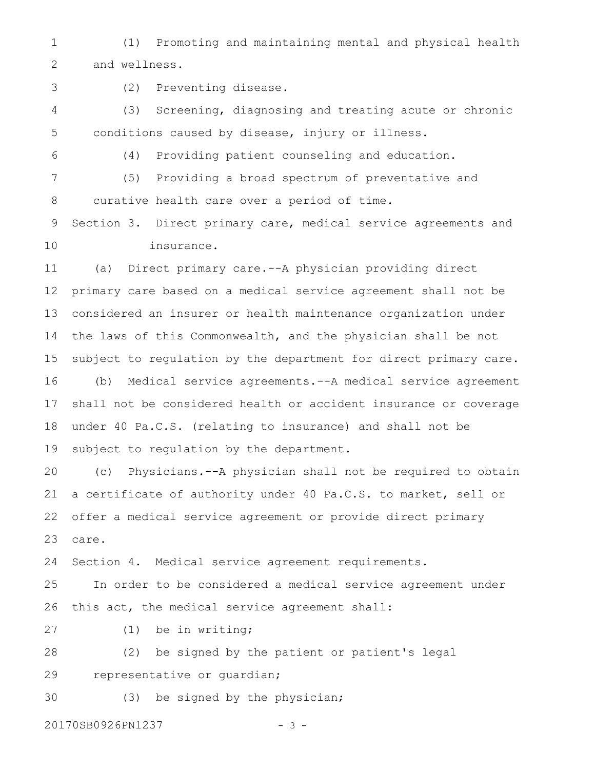(1) Promoting and maintaining mental and physical health and wellness. 1 2

3

(2) Preventing disease.

(3) Screening, diagnosing and treating acute or chronic conditions caused by disease, injury or illness. 4 5

6

(4) Providing patient counseling and education.

(5) Providing a broad spectrum of preventative and curative health care over a period of time. 7 8

Section 3. Direct primary care, medical service agreements and insurance. 9 10

(a) Direct primary care.--A physician providing direct primary care based on a medical service agreement shall not be considered an insurer or health maintenance organization under the laws of this Commonwealth, and the physician shall be not subject to regulation by the department for direct primary care. (b) Medical service agreements.--A medical service agreement shall not be considered health or accident insurance or coverage under 40 Pa.C.S. (relating to insurance) and shall not be subject to regulation by the department. 11 12 13 14 15 16 17 18 19

(c) Physicians.--A physician shall not be required to obtain a certificate of authority under 40 Pa.C.S. to market, sell or offer a medical service agreement or provide direct primary care. 20 21 22 23

Section 4. Medical service agreement requirements. 24

In order to be considered a medical service agreement under this act, the medical service agreement shall: 25 26

(1) be in writing; 27

(2) be signed by the patient or patient's legal representative or guardian; 28 29

(3) be signed by the physician; 30

20170SB0926PN1237 - 3 -